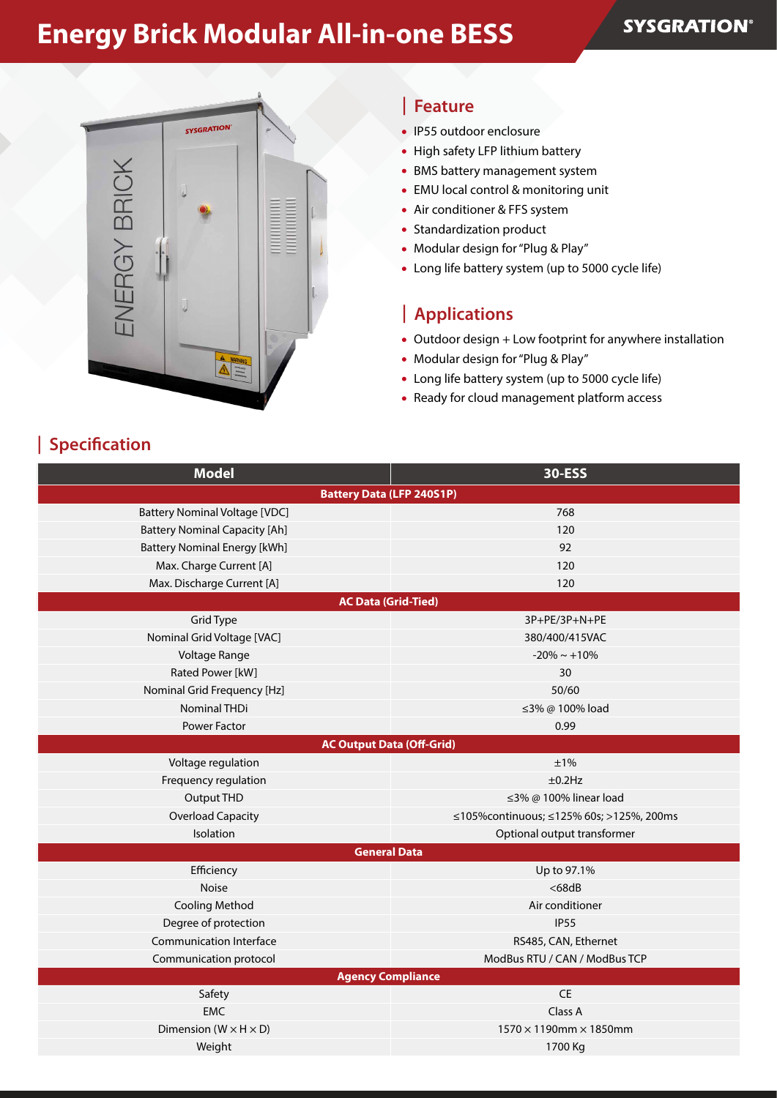# **Energy Brick Modular All-in-one BESS**



### **| Feature**

- IP55 outdoor enclosure
- **High safety LFP lithium battery**
- **BMS battery management system**
- EMU local control & monitoring unit
- **•** Air conditioner & FFS system
- **Standardization product**
- Modular design for "Plug & Play"
- Long life battery system (up to 5000 cycle life)

## **| Applications**

- Outdoor design + Low footprint for anywhere installation
- Modular design for "Plug & Play"
- Long life battery system (up to 5000 cycle life)
- Ready for cloud management platform access

| <b>Model</b>                         | 30-ESS                                    |  |  |  |  |  |  |
|--------------------------------------|-------------------------------------------|--|--|--|--|--|--|
| <b>Battery Data (LFP 240S1P)</b>     |                                           |  |  |  |  |  |  |
| <b>Battery Nominal Voltage [VDC]</b> | 768                                       |  |  |  |  |  |  |
| <b>Battery Nominal Capacity [Ah]</b> | 120                                       |  |  |  |  |  |  |
| <b>Battery Nominal Energy [kWh]</b>  | 92                                        |  |  |  |  |  |  |
| Max. Charge Current [A]              | 120                                       |  |  |  |  |  |  |
| Max. Discharge Current [A]           | 120                                       |  |  |  |  |  |  |
| <b>AC Data (Grid-Tied)</b>           |                                           |  |  |  |  |  |  |
| <b>Grid Type</b>                     | 3P+PE/3P+N+PE                             |  |  |  |  |  |  |
| Nominal Grid Voltage [VAC]           | 380/400/415VAC                            |  |  |  |  |  |  |
| Voltage Range                        | $-20\% \sim +10\%$                        |  |  |  |  |  |  |
| Rated Power [kW]                     | 30                                        |  |  |  |  |  |  |
| Nominal Grid Frequency [Hz]          | 50/60                                     |  |  |  |  |  |  |
| <b>Nominal THDi</b>                  | ≤3% @ 100% load                           |  |  |  |  |  |  |
| <b>Power Factor</b>                  | 0.99                                      |  |  |  |  |  |  |
| <b>AC Output Data (Off-Grid)</b>     |                                           |  |  |  |  |  |  |
| Voltage regulation                   | ±1%                                       |  |  |  |  |  |  |
| Frequency regulation                 | $±0.2$ Hz                                 |  |  |  |  |  |  |
| Output THD                           | ≤3% @ 100% linear load                    |  |  |  |  |  |  |
| <b>Overload Capacity</b>             | ≤105% continuous; ≤125% 60s; >125%, 200ms |  |  |  |  |  |  |
| Isolation                            | Optional output transformer               |  |  |  |  |  |  |
| <b>General Data</b>                  |                                           |  |  |  |  |  |  |
| Efficiency                           | Up to 97.1%                               |  |  |  |  |  |  |
| Noise                                | $<$ 68dB                                  |  |  |  |  |  |  |
| <b>Cooling Method</b>                | Air conditioner                           |  |  |  |  |  |  |
| Degree of protection                 | <b>IP55</b>                               |  |  |  |  |  |  |
| <b>Communication Interface</b>       | RS485, CAN, Ethernet                      |  |  |  |  |  |  |
| Communication protocol               | ModBus RTU / CAN / ModBus TCP             |  |  |  |  |  |  |
| <b>Agency Compliance</b>             |                                           |  |  |  |  |  |  |
| Safety                               | <b>CE</b>                                 |  |  |  |  |  |  |
| <b>EMC</b>                           | Class A                                   |  |  |  |  |  |  |
| Dimension ( $W \times H \times D$ )  | $1570 \times 1190$ mm $\times$ 1850mm     |  |  |  |  |  |  |
| Weight                               | 1700 Kg                                   |  |  |  |  |  |  |

### **| Specification**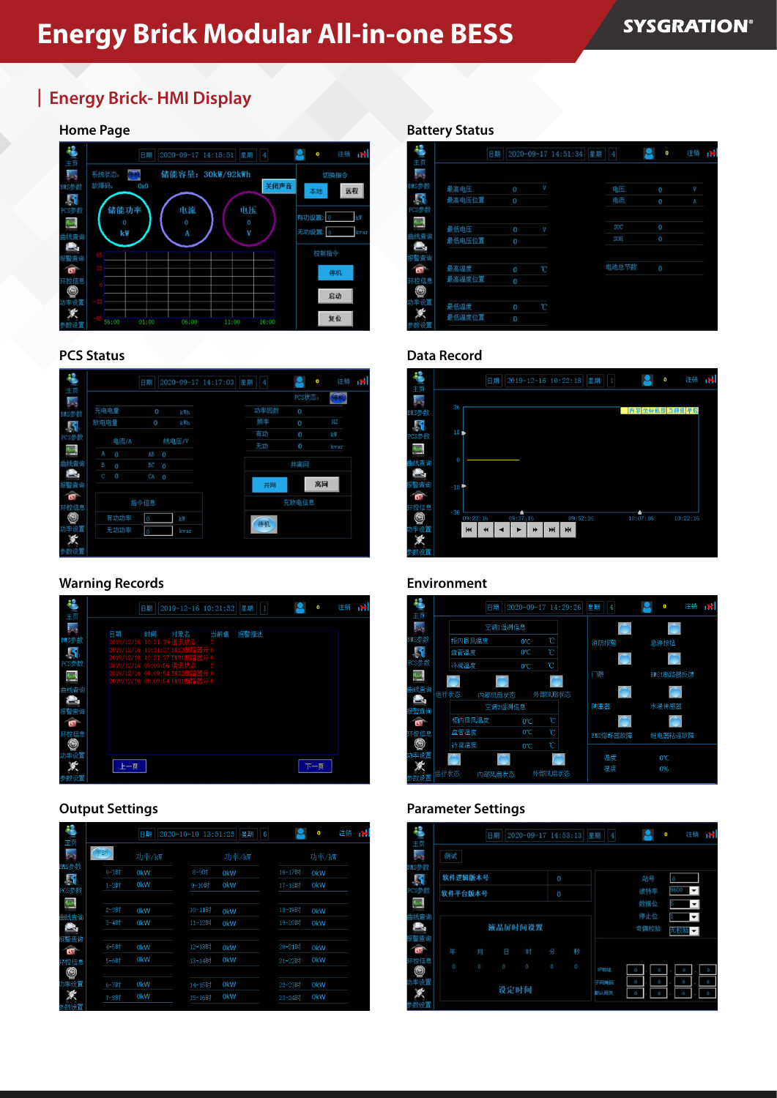## **Energy Brick Modular All-in-one BESS**

## **SYSGRATION®**

## **| Energy Brick- HMI Display**

#### **Home Page**



#### **PCS Status**



#### **Warning Records**



#### **Output Settings**

| ö<br>主页           |            | 日期               | 2020-10-10 13:51:25 | $6\phantom{.}6$  |  | $\bf{0}$  | 往销               | гĦ |  |
|-------------------|------------|------------------|---------------------|------------------|--|-----------|------------------|----|--|
| ing.<br>Kabupatèn | 手动         | 功率/kW            |                     | 功率/kW            |  |           | 功率/kW            |    |  |
| BMS参数             | $0 - 10$   | 0 <sub>k</sub> w | $8 - 90$            | 0 <sub>k</sub> w |  | 16-17时    | 0 <sub>k</sub> w |    |  |
| 5<br>PCS参数        | $1 - 281$  | 0 <sub>k</sub> W | $9 - 10F$           | 0 <sub>k</sub> W |  | $17 - 18$ | 0 <sub>k</sub> W |    |  |
| $\sim$            | $2 - 30 +$ | 0 <sub>k</sub> w | 10-11时              | 0 <sub>k</sub> W |  | 18-19时    | 0 <sub>k</sub> W |    |  |
| 曲线查询<br>$\sim$    | 3-4日寸      | 0 <sub>k</sub> w | 11-12时              | 0 <sub>k</sub> W |  | 19-20时    | 0 <sub>k</sub> w |    |  |
| 报警查询<br>$\bullet$ | 4-5时       | 0kW              | 12-13时              | 0 <sub>k</sub> w |  | 20-21时    | 0 <sub>k</sub> w |    |  |
| 环控信息              | $5 - 6B$   | 0 <sub>k</sub> W | 13-14时              | 0 <sub>k</sub> w |  | 21-22时    | <b>OkW</b>       |    |  |
| ۵<br>功率设置         | 6-7时       | 0 <sub>k</sub> W | 14-15时              | 0 <sub>k</sub> W |  | 22-23时    | <b>OkW</b>       |    |  |
|                   | 7-8时       | 0 <sub>k</sub> w | 15-16时              | 0 <sub>k</sub> w |  | 23-24时    | 0 <sub>k</sub> W |    |  |

#### **Battery Status**

| B            |        | 日期 | 2020-09-17 14:51:34 | 星期 | 4     |          | 注销<br>$\bf{0}$ | пÅ |
|--------------|--------|----|---------------------|----|-------|----------|----------------|----|
| 主页<br>Ļ.,    |        |    |                     |    |       |          |                |    |
| BMS参数        | 最高电压   |    | V<br>$\theta$       |    | 电压    | $\theta$ | V              |    |
| П            | 最高电压位置 |    | $\Omega$            |    | 电流    | $\theta$ | A              |    |
| PCS参数        |        |    |                     |    |       |          |                |    |
| $\mathbf{A}$ | 最低电压   |    | $\overline{0}$<br>V |    | soc   | $\bf{0}$ |                |    |
| 曲线查询         | 最低电压位置 |    | $\overline{0}$      |    | SOH   | $\bf{0}$ |                |    |
| L.<br>报警查询   |        |    |                     |    |       |          |                |    |
| $\sigma$     | 最高温度   |    | C<br>$\mathbf{0}$   |    | 电池总节数 | $\theta$ |                |    |
| 环控信息         | 最高温度位置 |    | $\mathbf{0}$        |    |       |          |                |    |
| ۵            |        |    |                     |    |       |          |                |    |
| 率设置          | 最低温度   |    | C<br>$\bf{0}$       |    |       |          |                |    |
|              | 最低温度位置 |    | $\theta$            |    |       |          |                |    |

#### **Data Record**



#### **Environment**



#### **Parameter Settings**

| 测试      |   |         |          |          |          |              |             |          |
|---------|---|---------|----------|----------|----------|--------------|-------------|----------|
| 软件逻辑版本号 |   |         |          | $\bf{0}$ |          |              | 站号          | 'n       |
| 软件平台版本号 |   |         | $\bf{0}$ |          |          | 波特率          | 9600        |          |
|         |   |         |          |          |          |              | 数据位         |          |
|         |   | 液晶屏时间设置 |          |          |          |              | 停止位<br>奇偶校验 | 九校地      |
| 年       | 目 | Β       | 时        | 石        | 秒        |              |             |          |
| $\circ$ | Û | 0       | $\theta$ | 0        | $\theta$ | IP地址         |             | $\theta$ |
|         |   | 设定时间    |          |          |          | 子网掩码<br>默认网关 | 0           | $\theta$ |